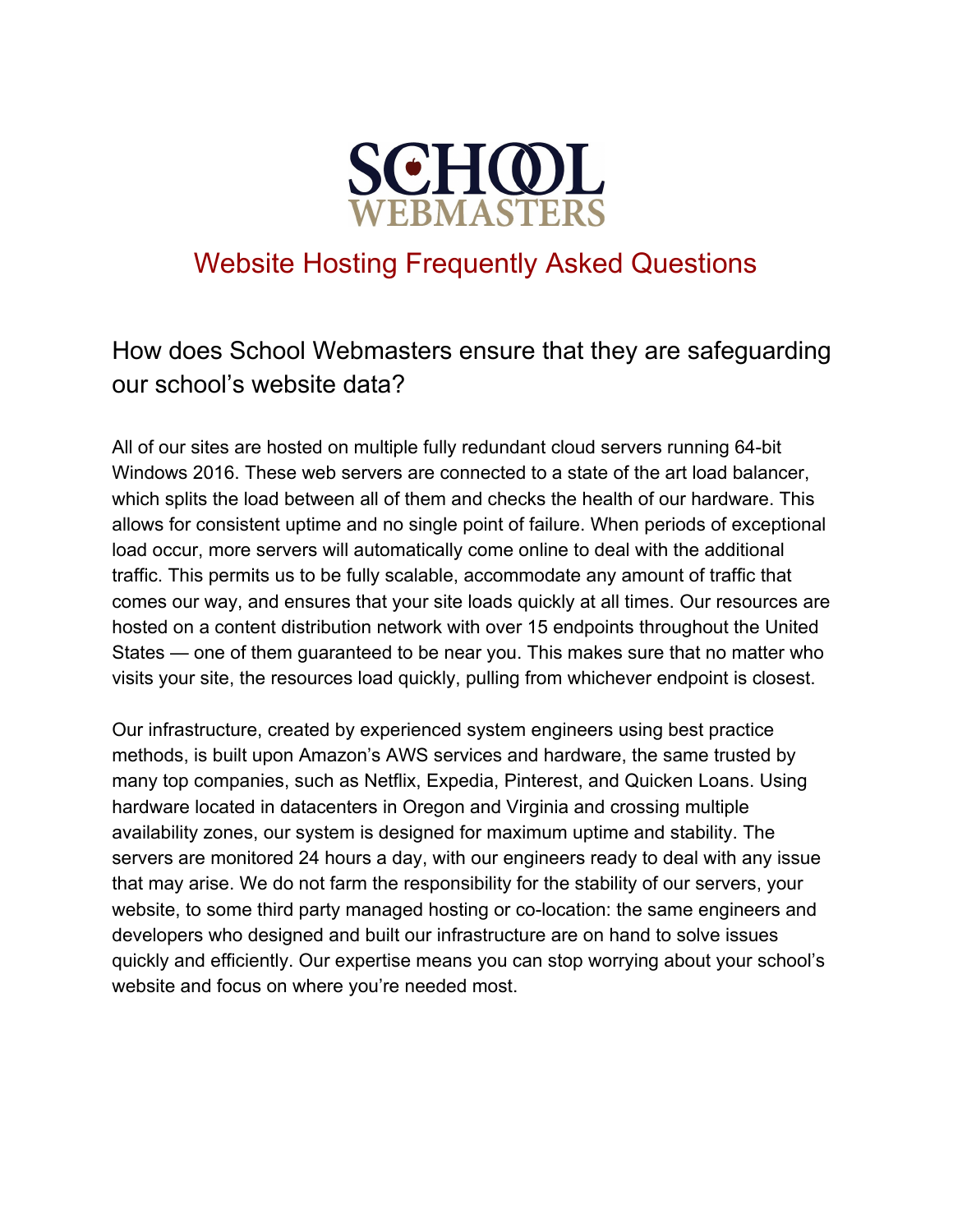

## Website Hosting Frequently Asked Questions

## How does School Webmasters ensure that they are safeguarding our school's website data?

All of our sites are hosted on multiple fully redundant cloud servers running 64-bit Windows 2016. These web servers are connected to a state of the art load balancer, which splits the load between all of them and checks the health of our hardware. This allows for consistent uptime and no single point of failure. When periods of exceptional load occur, more servers will automatically come online to deal with the additional traffic. This permits us to be fully scalable, accommodate any amount of traffic that comes our way, and ensures that your site loads quickly at all times. Our resources are hosted on a content distribution network with over 15 endpoints throughout the United States — one of them guaranteed to be near you. This makes sure that no matter who visits your site, the resources load quickly, pulling from whichever endpoint is closest.

Our infrastructure, created by experienced system engineers using best practice methods, is built upon Amazon's AWS services and hardware, the same trusted by many top companies, such as Netflix, Expedia, Pinterest, and Quicken Loans. Using hardware located in datacenters in Oregon and Virginia and crossing multiple availability zones, our system is designed for maximum uptime and stability. The servers are monitored 24 hours a day, with our engineers ready to deal with any issue that may arise. We do not farm the responsibility for the stability of our servers, your website, to some third party managed hosting or co-location: the same engineers and developers who designed and built our infrastructure are on hand to solve issues quickly and efficiently. Our expertise means you can stop worrying about your school's website and focus on where you're needed most.